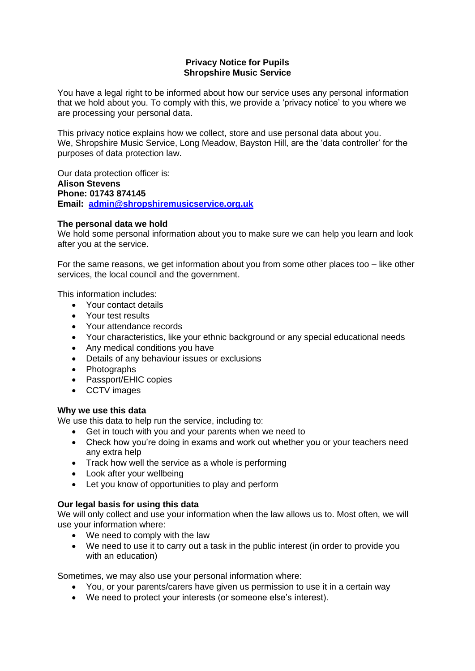# **Privacy Notice for Pupils Shropshire Music Service**

You have a legal right to be informed about how our service uses any personal information that we hold about you. To comply with this, we provide a 'privacy notice' to you where we are processing your personal data.

This privacy notice explains how we collect, store and use personal data about you. We, Shropshire Music Service, Long Meadow, Bayston Hill, are the 'data controller' for the purposes of data protection law.

Our data protection officer is: **Alison Stevens Phone: 01743 874145 Email: [admin@shropshiremusicservice.org.uk](mailto:admin@shropshiremusicservice.org.uk)**

# **The personal data we hold**

We hold some personal information about you to make sure we can help you learn and look after you at the service.

For the same reasons, we get information about you from some other places too – like other services, the local council and the government.

This information includes:

- Your contact details
- Your test results
- Your attendance records
- Your characteristics, like your ethnic background or any special educational needs
- Any medical conditions you have
- Details of any behaviour issues or exclusions
- Photographs
- Passport/EHIC copies
- CCTV images

#### **Why we use this data**

We use this data to help run the service, including to:

- Get in touch with you and your parents when we need to
- Check how you're doing in exams and work out whether you or your teachers need any extra help
- Track how well the service as a whole is performing
- Look after your wellbeing
- Let you know of opportunities to play and perform

# **Our legal basis for using this data**

We will only collect and use your information when the law allows us to. Most often, we will use your information where:

- We need to comply with the law
- We need to use it to carry out a task in the public interest (in order to provide you with an education)

Sometimes, we may also use your personal information where:

- You, or your parents/carers have given us permission to use it in a certain way
- We need to protect your interests (or someone else's interest).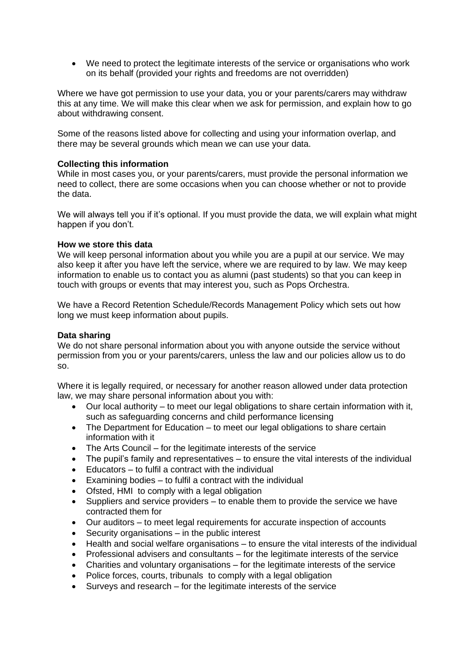• We need to protect the legitimate interests of the service or organisations who work on its behalf (provided your rights and freedoms are not overridden)

Where we have got permission to use your data, you or your parents/carers may withdraw this at any time. We will make this clear when we ask for permission, and explain how to go about withdrawing consent.

Some of the reasons listed above for collecting and using your information overlap, and there may be several grounds which mean we can use your data.

## **Collecting this information**

While in most cases you, or your parents/carers, must provide the personal information we need to collect, there are some occasions when you can choose whether or not to provide the data.

We will always tell you if it's optional. If you must provide the data, we will explain what might happen if you don't.

## **How we store this data**

We will keep personal information about you while you are a pupil at our service. We may also keep it after you have left the service, where we are required to by law. We may keep information to enable us to contact you as alumni (past students) so that you can keep in touch with groups or events that may interest you, such as Pops Orchestra.

We have a Record Retention Schedule/Records Management Policy which sets out how long we must keep information about pupils.

## **Data sharing**

We do not share personal information about you with anyone outside the service without permission from you or your parents/carers, unless the law and our policies allow us to do so.

Where it is legally required, or necessary for another reason allowed under data protection law, we may share personal information about you with:

- Our local authority to meet our legal obligations to share certain information with it, such as safeguarding concerns and child performance licensing
- The Department for Education to meet our legal obligations to share certain information with it
- The Arts Council for the legitimate interests of the service
- $\bullet$  The pupil's family and representatives to ensure the vital interests of the individual
- Educators to fulfil a contract with the individual
- Examining bodies to fulfil a contract with the individual
- Ofsted, HMI to comply with a legal obligation
- Suppliers and service providers to enable them to provide the service we have contracted them for
- Our auditors to meet legal requirements for accurate inspection of accounts
- Security organisations in the public interest
- Health and social welfare organisations to ensure the vital interests of the individual
- Professional advisers and consultants for the legitimate interests of the service
- Charities and voluntary organisations for the legitimate interests of the service
- Police forces, courts, tribunals to comply with a legal obligation
- Surveys and research for the legitimate interests of the service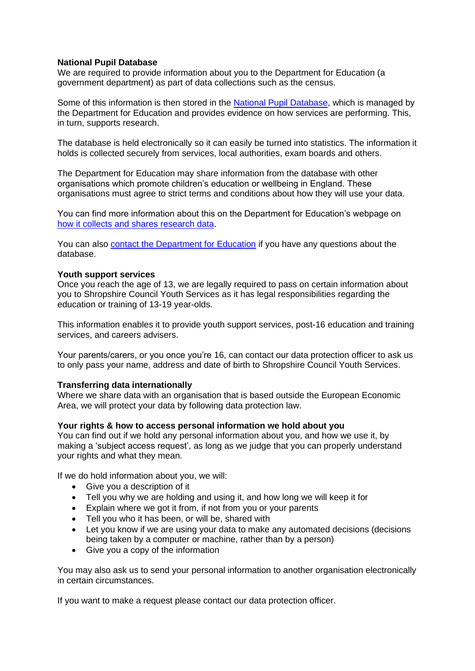## **National Pupil Database**

We are required to provide information about you to the Department for Education (a government department) as part of data collections such as the census.

Some of this information is then stored in the [National Pupil Database,](https://www.gov.uk/government/publications/national-pupil-database-user-guide-and-supporting-information) which is managed by the Department for Education and provides evidence on how services are performing. This, in turn, supports research.

The database is held electronically so it can easily be turned into statistics. The information it holds is collected securely from services, local authorities, exam boards and others.

The Department for Education may share information from the database with other organisations which promote children's education or wellbeing in England. These organisations must agree to strict terms and conditions about how they will use your data.

You can find more information about this on the Department for Education's webpage on [how it collects and shares research data.](https://www.gov.uk/data-protection-how-we-collect-and-share-research-data)

You can also [contact the Department for Education](https://www.gov.uk/contact-dfe) if you have any questions about the database.

#### **Youth support services**

Once you reach the age of 13, we are legally required to pass on certain information about you to Shropshire Council Youth Services as it has legal responsibilities regarding the education or training of 13-19 year-olds.

This information enables it to provide youth support services, post-16 education and training services, and careers advisers.

Your parents/carers, or you once you're 16, can contact our data protection officer to ask us to only pass your name, address and date of birth to Shropshire Council Youth Services.

#### **Transferring data internationally**

Where we share data with an organisation that is based outside the European Economic Area, we will protect your data by following data protection law.

#### **Your rights & how to access personal information we hold about you**

You can find out if we hold any personal information about you, and how we use it, by making a 'subject access request', as long as we judge that you can properly understand your rights and what they mean.

If we do hold information about you, we will:

- Give you a description of it
- Tell you why we are holding and using it, and how long we will keep it for
- Explain where we got it from, if not from you or your parents
- Tell you who it has been, or will be, shared with
- Let you know if we are using your data to make any automated decisions (decisions being taken by a computer or machine, rather than by a person)
- Give you a copy of the information

You may also ask us to send your personal information to another organisation electronically in certain circumstances.

If you want to make a request please contact our data protection officer.